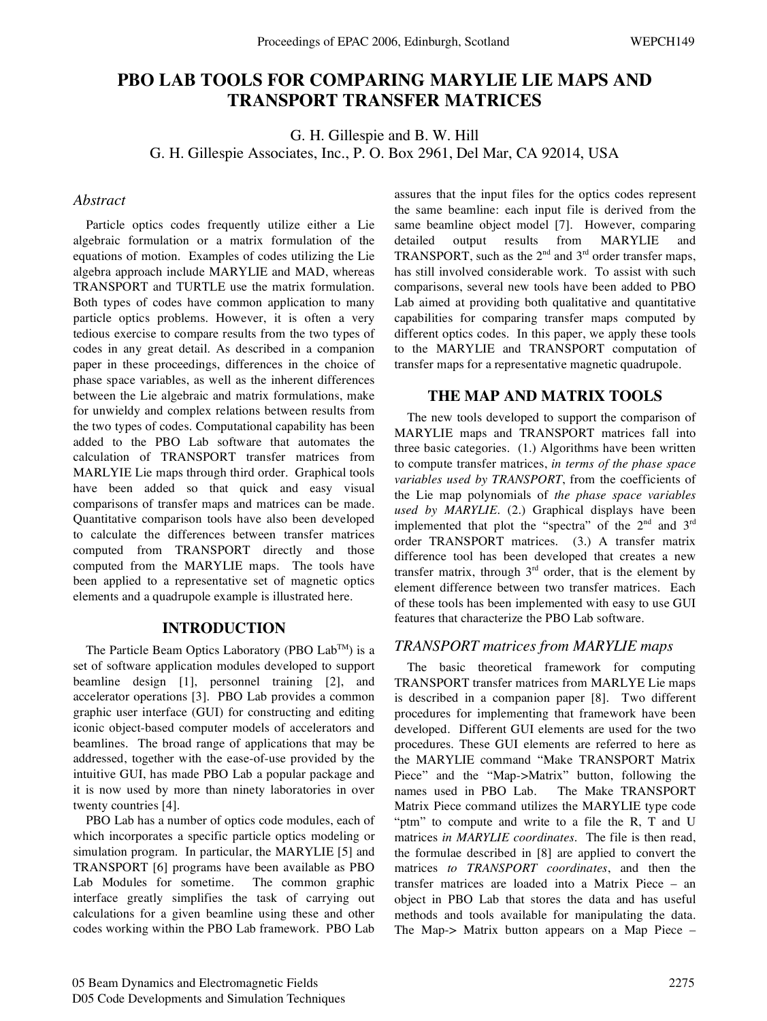# **PBO LAB TOOLS FOR COMPARING MARYLIE LIE MAPS AND TRANSPORT TRANSFER MATRICES**

G. H. Gillespie and B. W. Hill G. H. Gillespie Associates, Inc., P. O. Box 2961, Del Mar, CA 92014, USA

# *Abstract*

Particle optics codes frequently utilize either a Lie algebraic formulation or a matrix formulation of the equations of motion. Examples of codes utilizing the Lie algebra approach include MARYLIE and MAD, whereas TRANSPORT and TURTLE use the matrix formulation. Both types of codes have common application to many particle optics problems. However, it is often a very tedious exercise to compare results from the two types of codes in any great detail. As described in a companion paper in these proceedings, differences in the choice of phase space variables, as well as the inherent differences between the Lie algebraic and matrix formulations, make for unwieldy and complex relations between results from the two types of codes. Computational capability has been added to the PBO Lab software that automates the calculation of TRANSPORT transfer matrices from MARLYIE Lie maps through third order. Graphical tools have been added so that quick and easy visual comparisons of transfer maps and matrices can be made. Quantitative comparison tools have also been developed to calculate the differences between transfer matrices computed from TRANSPORT directly and those computed from the MARYLIE maps. The tools have been applied to a representative set of magnetic optics elements and a quadrupole example is illustrated here.

#### **INTRODUCTION**

The Particle Beam Optics Laboratory (PBO Lab<sup>TM</sup>) is a set of software application modules developed to support beamline design [1], personnel training [2], and accelerator operations [3]. PBO Lab provides a common graphic user interface (GUI) for constructing and editing iconic object-based computer models of accelerators and beamlines. The broad range of applications that may be addressed, together with the ease-of-use provided by the intuitive GUI, has made PBO Lab a popular package and it is now used by more than ninety laboratories in over twenty countries [4].

PBO Lab has a number of optics code modules, each of which incorporates a specific particle optics modeling or simulation program. In particular, the MARYLIE [5] and TRANSPORT [6] programs have been available as PBO Lab Modules for sometime. The common graphic interface greatly simplifies the task of carrying out calculations for a given beamline using these and other codes working within the PBO Lab framework. PBO Lab assures that the input files for the optics codes represent the same beamline: each input file is derived from the same beamline object model [7]. However, comparing detailed output results from MARYLIE and TRANSPORT, such as the  $2<sup>nd</sup>$  and  $3<sup>rd</sup>$  order transfer maps, has still involved considerable work. To assist with such comparisons, several new tools have been added to PBO Lab aimed at providing both qualitative and quantitative capabilities for comparing transfer maps computed by different optics codes. In this paper, we apply these tools to the MARYLIE and TRANSPORT computation of transfer maps for a representative magnetic quadrupole.

# **THE MAP AND MATRIX TOOLS**

The new tools developed to support the comparison of MARYLIE maps and TRANSPORT matrices fall into three basic categories. (1.) Algorithms have been written to compute transfer matrices, *in terms of the phase space variables used by TRANSPORT*, from the coefficients of the Lie map polynomials of *the phase space variables used by MARYLIE*. (2.) Graphical displays have been implemented that plot the "spectra" of the 2<sup>nd</sup> and 3<sup>rd</sup> order TRANSPORT matrices. (3.) A transfer matrix difference tool has been developed that creates a new transfer matrix, through  $3<sup>rd</sup>$  order, that is the element by element difference between two transfer matrices. Each of these tools has been implemented with easy to use GUI features that characterize the PBO Lab software.

## *TRANSPORT matrices from MARYLIE maps*

The basic theoretical framework for computing TRANSPORT transfer matrices from MARLYE Lie maps is described in a companion paper [8]. Two different procedures for implementing that framework have been developed. Different GUI elements are used for the two procedures. These GUI elements are referred to here as the MARYLIE command "Make TRANSPORT Matrix Piece" and the "Map->Matrix" button, following the names used in PBO Lab. The Make TRANSPORT Matrix Piece command utilizes the MARYLIE type code "ptm" to compute and write to a file the R, T and U matrices *in MARYLIE coordinates*. The file is then read, the formulae described in [8] are applied to convert the matrices *to TRANSPORT coordinates*, and then the transfer matrices are loaded into a Matrix Piece – an object in PBO Lab that stores the data and has useful methods and tools available for manipulating the data. The Map-> Matrix button appears on a Map Piece –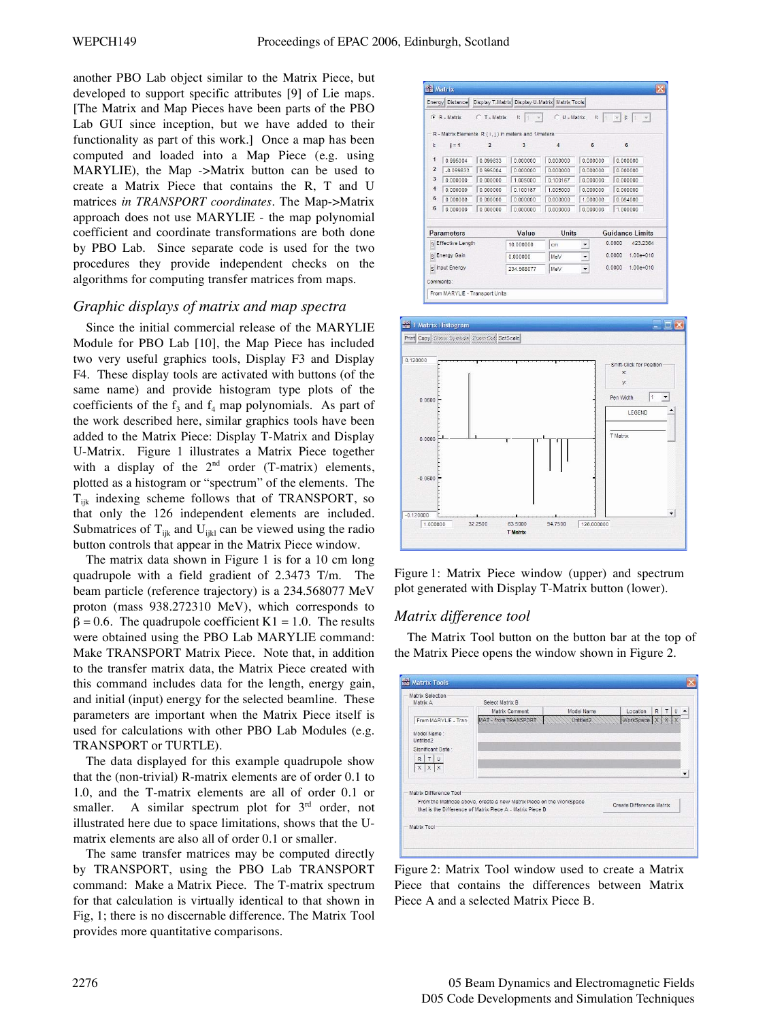another PBO Lab object similar to the Matrix Piece, but developed to support specific attributes [9] of Lie maps. [The Matrix and Map Pieces have been parts of the PBO Lab GUI since inception, but we have added to their functionality as part of this work.] Once a map has been computed and loaded into a Map Piece (e.g. using MARYLIE), the Map ->Matrix button can be used to create a Matrix Piece that contains the R, T and U matrices *in TRANSPORT coordinates*. The Map->Matrix approach does not use MARYLIE - the map polynomial coefficient and coordinate transformations are both done by PBO Lab. Since separate code is used for the two procedures they provide independent checks on the algorithms for computing transfer matrices from maps.

# *Graphic displays of matrix and map spectra*

Since the initial commercial release of the MARYLIE Module for PBO Lab [10], the Map Piece has included two very useful graphics tools, Display F3 and Display F4. These display tools are activated with buttons (of the same name) and provide histogram type plots of the coefficients of the  $f_3$  and  $f_4$  map polynomials. As part of the work described here, similar graphics tools have been added to the Matrix Piece: Display T-Matrix and Display U-Matrix. Figure 1 illustrates a Matrix Piece together with a display of the  $2<sup>nd</sup>$  order (T-matrix) elements, plotted as a histogram or "spectrum" of the elements. The  $T_{iik}$  indexing scheme follows that of TRANSPORT, so that only the 126 independent elements are included. Submatrices of  $T_{ijk}$  and  $U_{ijkl}$  can be viewed using the radio button controls that appear in the Matrix Piece window.

The matrix data shown in Figure 1 is for a 10 cm long quadrupole with a field gradient of 2.3473 T/m. The beam particle (reference trajectory) is a 234.568077 MeV proton (mass 938.272310 MeV), which corresponds to  $\beta = 0.6$ . The quadrupole coefficient K1 = 1.0. The results were obtained using the PBO Lab MARYLIE command: Make TRANSPORT Matrix Piece. Note that, in addition to the transfer matrix data, the Matrix Piece created with this command includes data for the length, energy gain, and initial (input) energy for the selected beamline. These parameters are important when the Matrix Piece itself is used for calculations with other PBO Lab Modules (e.g. TRANSPORT or TURTLE).

The data displayed for this example quadrupole show that the (non-trivial) R-matrix elements are of order 0.1 to 1.0, and the T-matrix elements are all of order 0.1 or smaller. A similar spectrum plot for  $3<sup>rd</sup>$  order, not illustrated here due to space limitations, shows that the Umatrix elements are also all of order 0.1 or smaller.

The same transfer matrices may be computed directly by TRANSPORT, using the PBO Lab TRANSPORT command: Make a Matrix Piece. The T-matrix spectrum for that calculation is virtually identical to that shown in Fig, 1; there is no discernable difference. The Matrix Tool provides more quantitative comparisons.

|                         | Energy Distance   |                | Display T-Matrix Display U-Matrix Matrix Tools      |                   |                          |                                        |
|-------------------------|-------------------|----------------|-----------------------------------------------------|-------------------|--------------------------|----------------------------------------|
|                         | $G$ R - Matrix    | C T - Matrix   | i:<br>$\mathcal{A}$<br>H                            | $C \cup -$ Matrix | i:<br> 1                 | $\mathbf{F}$ 1<br>$-$<br>$\mathcal{H}$ |
|                         |                   |                | R - Matrix Elements R (i, j) in meters and 1/meters |                   |                          |                                        |
| i:                      | $i = 1$           | $\overline{2}$ | $\overline{3}$                                      | 4                 | 5                        | 6                                      |
| 1                       | 0.995004          | 0.099833       | 0.000000                                            | 0.000000          | 0.000000                 | 0.000000                               |
| $\overline{2}$          | $-0.099833$       | 0.995004       | 0.000000                                            | 0.000000          | 0.000000                 | 0.000000                               |
| 3                       | 0.000000          | 0.000000       | 1,005000                                            | 0.100167          | 0.000000                 | 0.000000                               |
| $\overline{\mathbf{4}}$ | 0.000000          | 0.000000       | 0 100167                                            | 1 005000          | 0.000000                 | 0.000000                               |
| 5                       | 0.000000          | 0.000000       | 0.000000                                            | 0.000000          | 1.000000                 | 0.064000                               |
| 6                       | 0.000000          | 0.000000       | 0.000000                                            | 0.000000          | 0.000000                 | 1,000000                               |
|                         | <b>Parameters</b> |                | Value                                               | Units             |                          | <b>Guidance Limits</b>                 |
| S Effective Length      |                   |                | 10.000000                                           | cm                | $\overline{\phantom{a}}$ | 0.0000<br>423.2364                     |
| S Energy Gain           |                   |                | 0.000000                                            | MeV               | $\blacktriangledown$     | 0.0000<br>$1.00e + 010$                |
| s Input Energy          |                   |                | 234.568077                                          | MeV               | $\overline{\phantom{a}}$ | 0.0000<br>$1.00e + 010$                |
|                         | Comments:         |                |                                                     |                   |                          |                                        |





# *Matrix difference tool*

The Matrix Tool button on the button bar at the top of the Matrix Piece opens the window shown in Figure 2.

| Matrix A                                                                  | Select Matrix B<br>Location<br>R<br>Matrix Comment<br>$\tau$                                                                      |                                     |                          |  |  |  |
|---------------------------------------------------------------------------|-----------------------------------------------------------------------------------------------------------------------------------|-------------------------------------|--------------------------|--|--|--|
| From MARYLE - Tran                                                        | MAT - from TRANSPORT                                                                                                              | Model Name<br>Untitled <sub>2</sub> | <b>WorkSpace</b>         |  |  |  |
| Model Name:<br>Untitled2<br>Significant Data:<br>$R$ $T$ U<br>$X$ $X$ $X$ |                                                                                                                                   |                                     |                          |  |  |  |
| Matrix Difference Tool                                                    | From the Matrices above, create a new Matrix Piece on the WorkSpace<br>that is the Difference of Matrix Piece A - Matrix Piece B. |                                     | Create Difference Matrix |  |  |  |
| Matrix Tool                                                               |                                                                                                                                   |                                     |                          |  |  |  |

Figure 2: Matrix Tool window used to create a Matrix Piece that contains the differences between Matrix Piece A and a selected Matrix Piece B.